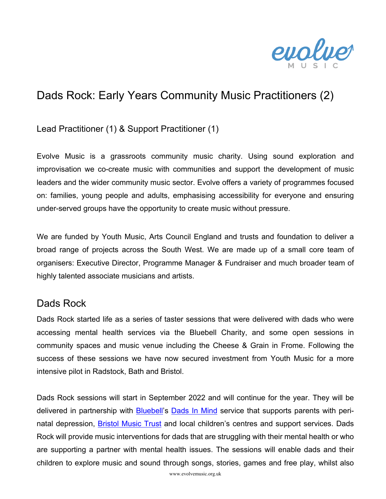

# Dads Rock: Early Years Community Music Practitioners (2)

Lead Practitioner (1) & Support Practitioner (1)

Evolve Music is a grassroots community music charity. Using sound exploration and improvisation we co-create music with communities and support the development of music leaders and the wider community music sector. Evolve offers a variety of programmes focused on: families, young people and adults, emphasising accessibility for everyone and ensuring under-served groups have the opportunity to create music without pressure.

We are funded by Youth Music, Arts Council England and trusts and foundation to deliver a broad range of projects across the South West. We are made up of a small core team of organisers: Executive Director, Programme Manager & Fundraiser and much broader team of highly talented associate musicians and artists.

#### Dads Rock

Dads Rock started life as a series of taster sessions that were delivered with dads who were accessing mental health services via the Bluebell Charity, and some open sessions in community spaces and music venue including the Cheese & Grain in Frome. Following the success of these sessions we have now secured investment from Youth Music for a more intensive pilot in Radstock, Bath and Bristol.

Dads Rock sessions will start in September 2022 and will continue for the year. They will be delivered in partnership with Bluebell's Dads In Mind service that supports parents with perinatal depression, Bristol Music Trust and local children's centres and support services. Dads Rock will provide music interventions for dads that are struggling with their mental health or who are supporting a partner with mental health issues. The sessions will enable dads and their children to explore music and sound through songs, stories, games and free play, whilst also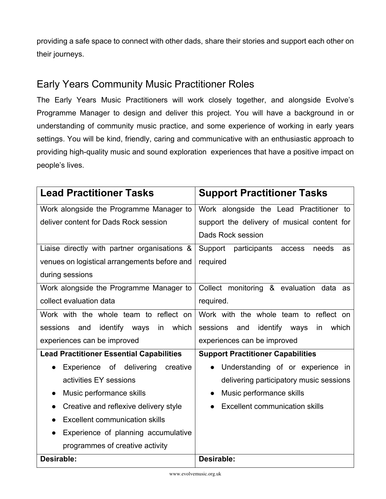providing a safe space to connect with other dads, share their stories and support each other on their journeys.

### Early Years Community Music Practitioner Roles

The Early Years Music Practitioners will work closely together, and alongside Evolve's Programme Manager to design and deliver this project. You will have a background in or understanding of community music practice, and some experience of working in early years settings. You will be kind, friendly, caring and communicative with an enthusiastic approach to providing high-quality music and sound exploration experiences that have a positive impact on people's lives.

| <b>Lead Practitioner Tasks</b>                  | <b>Support Practitioner Tasks</b>               |
|-------------------------------------------------|-------------------------------------------------|
| Work alongside the Programme Manager to         | Work alongside the Lead Practitioner to         |
| deliver content for Dads Rock session           | support the delivery of musical content for     |
|                                                 | Dads Rock session                               |
| Liaise directly with partner organisations &    | Support<br>participants access<br>needs<br>as   |
| venues on logistical arrangements before and    | required                                        |
| during sessions                                 |                                                 |
| Work alongside the Programme Manager to         | Collect monitoring & evaluation data as         |
| collect evaluation data                         | required.                                       |
| Work with the whole team to reflect on          | Work with the whole team to reflect on          |
| identify ways<br>which<br>sessions<br>and<br>in | identify ways<br>sessions<br>and<br>which<br>in |
| experiences can be improved                     | experiences can be improved                     |
| <b>Lead Practitioner Essential Capabilities</b> | <b>Support Practitioner Capabilities</b>        |
| Experience of delivering<br>creative            | Understanding of or experience in<br>$\bullet$  |
| activities EY sessions                          | delivering participatory music sessions         |
| Music performance skills                        | Music performance skills                        |
| Creative and reflexive delivery style           | <b>Excellent communication skills</b>           |
| <b>Excellent communication skills</b>           |                                                 |
| Experience of planning accumulative             |                                                 |
| programmes of creative activity                 |                                                 |
| Desirable:                                      | Desirable:                                      |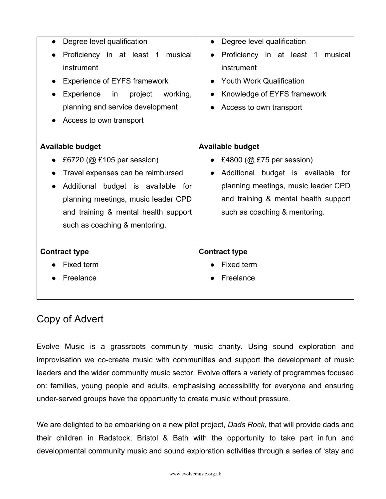| Degree level qualification              | Degree level qualification            |
|-----------------------------------------|---------------------------------------|
| Proficiency in at least 1 musical       | Proficiency in at least 1<br>musical  |
| instrument                              | instrument                            |
| <b>Experience of EYFS framework</b>     | <b>Youth Work Qualification</b>       |
| Experience<br>working,<br>in<br>project | Knowledge of EYFS framework           |
| planning and service development        | Access to own transport               |
| Access to own transport                 |                                       |
|                                         |                                       |
| <b>Available budget</b>                 | <b>Available budget</b>               |
| £6720 (@ £105 per session)              | £4800 ( $@$ £75 per session)          |
| Travel expenses can be reimbursed       | Additional budget is available<br>for |
| Additional budget is available for      | planning meetings, music leader CPD   |
| planning meetings, music leader CPD     | and training & mental health support  |
| and training & mental health support    | such as coaching & mentoring.         |
| such as coaching & mentoring.           |                                       |
|                                         |                                       |
| <b>Contract type</b>                    | <b>Contract type</b>                  |
| <b>Fixed term</b>                       | Fixed term                            |
| Freelance                               | Freelance                             |
|                                         |                                       |

#### Copy of Advert

Evolve Music is a grassroots community music charity. Using sound exploration and improvisation we co-create music with communities and support the development of music leaders and the wider community music sector. Evolve offers a variety of programmes focused on: families, young people and adults, emphasising accessibility for everyone and ensuring under-served groups have the opportunity to create music without pressure.

We are delighted to be embarking on a new pilot project, *Dads Rock*, that will provide dads and their children in Radstock, Bristol & Bath with the opportunity to take part in fun and developmental community music and sound exploration activities through a series of 'stay and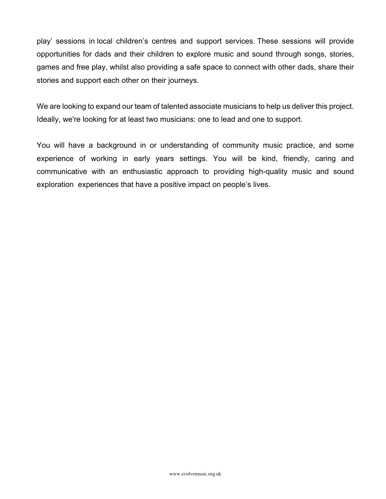play' sessions in local children's centres and support services. These sessions will provide opportunities for dads and their children to explore music and sound through songs, stories, games and free play, whilst also providing a safe space to connect with other dads, share their stories and support each other on their journeys.

We are looking to expand our team of talented associate musicians to help us deliver this project. Ideally, we're looking for at least two musicians: one to lead and one to support.

You will have a background in or understanding of community music practice, and some experience of working in early years settings. You will be kind, friendly, caring and communicative with an enthusiastic approach to providing high-quality music and sound exploration experiences that have a positive impact on people's lives.